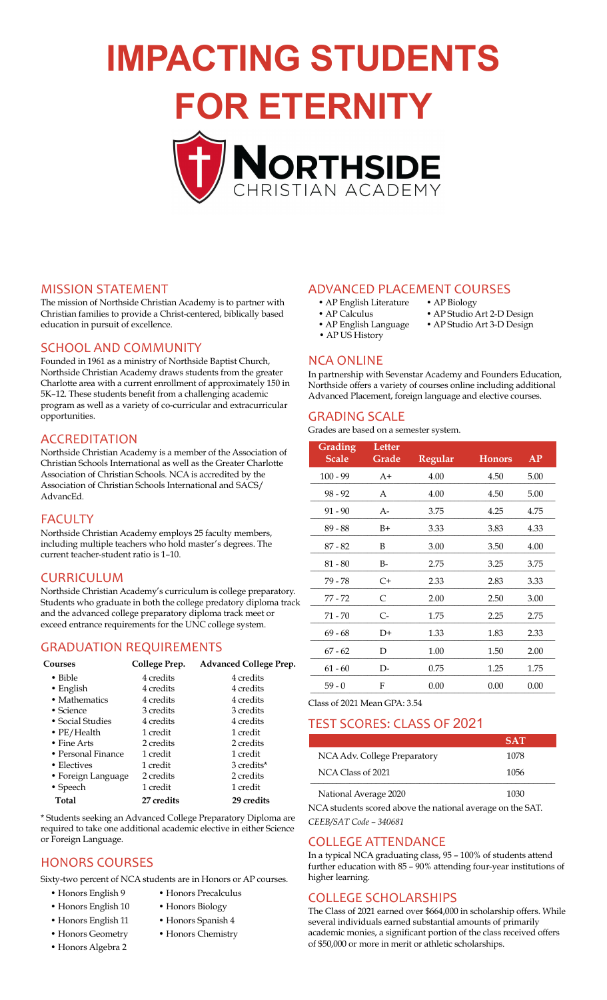# **IMPACTING STUDENTS**

**FOR ETERNITY**



#### MISSION STATEMENT

The mission of Northside Christian Academy is to partner with Christian families to provide a Christ-centered, biblically based education in pursuit of excellence.

#### SCHOOL AND COMMUNITY

Founded in 1961 as a ministry of Northside Baptist Church, Northside Christian Academy draws students from the greater Charlotte area with a current enrollment of approximately 150 in 5K–12. These students benefit from a challenging academic program as well as a variety of co-curricular and extracurricular opportunities.

#### ACCREDITATION

Northside Christian Academy is a member of the Association of Christian Schools International as well as the Greater Charlotte Association of Christian Schools. NCA is accredited by the Association of Christian Schools International and SACS/ AdvancEd.

#### FACULTY

Northside Christian Academy employs 25 faculty members, including multiple teachers who hold master's degrees. The current teacher-student ratio is 1–10.

#### CURRICULUM

Northside Christian Academy's curriculum is college preparatory. Students who graduate in both the college predatory diploma track and the advanced college preparatory diploma track meet or exceed entrance requirements for the UNC college system.

#### **GRADUATION REQUIREMENTS**

| Courses            | College Prep.     | Advanced College Prep. |
|--------------------|-------------------|------------------------|
| $\bullet$ Bible    | 4 credits         | 4 credits              |
| $\bullet$ English  | 4 credits         | 4 credits              |
| • Mathematics      | 4 credits         | 4 credits              |
| $\bullet$ Science  | 3 credits         | 3 credits              |
| • Social Studies   | 4 credits         | 4 credits              |
| • $PE/Health$      | 1 credit          | 1 credit               |
| • Fine Arts        | 2 credits         | 2 credits              |
| • Personal Finance | 1 credit          | 1 credit               |
| • Electives        | 1 credit          | 3 credits*             |
| • Foreign Language | 2 credits         | 2 credits              |
| $\bullet$ Speech   | 1 credit          | 1 credit               |
| Total              | <b>27 credits</b> | <b>29 credits</b>      |
|                    |                   |                        |

\* Students seeking an Advanced College Preparatory Diploma are required to take one additional academic elective in either Science or Foreign Language.

#### **HONORS COURSES**

Sixty-two percent of NCA students are in Honors or AP courses.

- Honors English 9 Honors Precalculus
- Honors English 10 Honors Biology
- Honors English 11 Honors Spanish 4
- Honors Geometry Honors Chemistry
- Honors Algebra 2

## ADVANCED PLACEMENT COURSES<br>• AP English Literature • AP Biology

- AP English Literature
	-
	-
- 
- AP Calculus AP Studio Art 2-D Design<br>• AP English Language AP Studio Art 3-D Design • AP Studio Art 3-D Design
- AP US History

#### **NCA ONLINE**

In partnership with Sevenstar Academy and Founders Education, Northside offers a variety of courses online including additional Advanced Placement, foreign language and elective courses.

#### GRADING SCALE

Grades are based on a semester system.

| Grading<br><b>Scale</b> | Letter<br>Grade | <b>Regular</b> | <b>Honors</b> | AP   |
|-------------------------|-----------------|----------------|---------------|------|
| $100 - 99$              | $A+$            | 4.00           | 4.50          | 5.00 |
| $98 - 92$               | А               | 4.00           | 4.50          | 5.00 |
| $91 - 90$               | $A-$            | 3.75           | 4.25          | 4.75 |
| $89 - 88$               | $B+$            | 3.33           | 3.83          | 4.33 |
| $87 - 82$               | B               | 3.00           | 3.50          | 4.00 |
| $81 - 80$               | $B-$            | 2.75           | 3.25          | 3.75 |
| 79 - 78                 | $C+$            | 2.33           | 2.83          | 3.33 |
| 77 - 72                 | C               | 2.00           | 2.50          | 3.00 |
| 71 - 70                 | C-              | 1.75           | 2.25          | 2.75 |
| $69 - 68$               | D+              | 1.33           | 1.83          | 2.33 |
| $67 - 62$               | D               | 1.00           | 1.50          | 2.00 |
| $61 - 60$               | D-              | 0.75           | 1.25          | 1.75 |
| $59 - 0$                | F               | 0.00           | 0.00          | 0.00 |

Class of 2021 Mean GPA: 3.54

#### TEST SCORES: CLASS OF 2021

|                              | <b>SAT</b> |
|------------------------------|------------|
| NCA Adv. College Preparatory | 1078       |
| NCA Class of 2021            | 1056       |
| National Average 2020        | 1030       |

NCA students scored above the national average on the SAT. *CEEB/SAT Code – 340681* 

#### COLLEGE ATTENDANCE

In a typical NCA graduating class, 95 – 100% of students attend further education with 85 – 90% attending four-year institutions of higher learning.

#### **COLLEGE SCHOLARSHIPS**

The Class of 2021 earned over \$664,000 in scholarship offers. While several individuals earned substantial amounts of primarily academic monies, a significant portion of the class received offers of \$50,000 or more in merit or athletic scholarships.